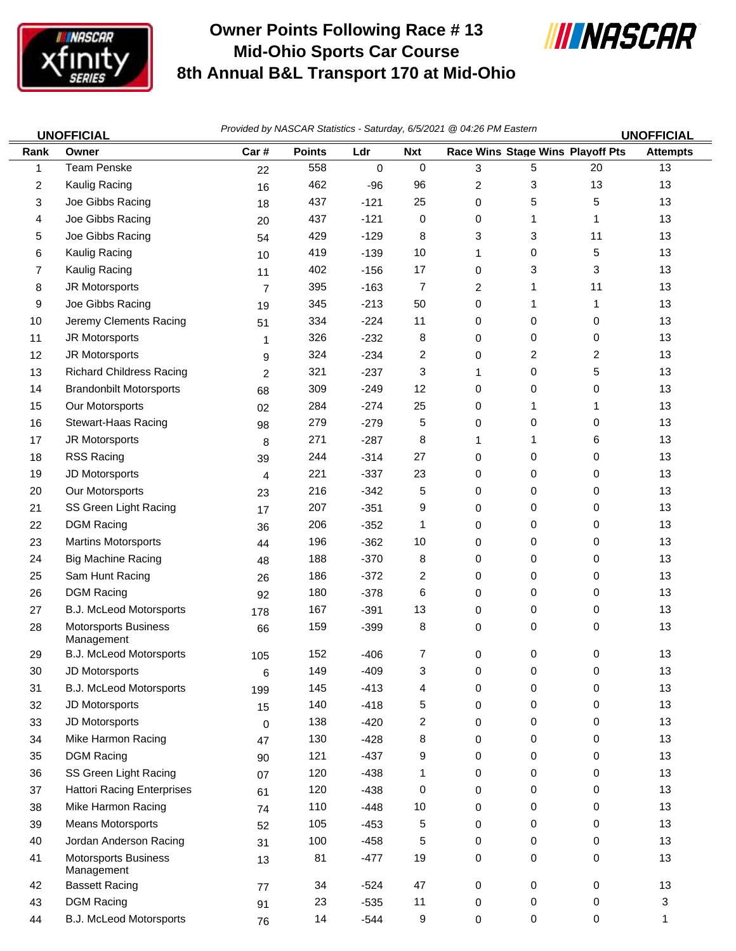

## **Owner Points Following Race # 13 Mid-Ohio Sports Car Course 8th Annual B&L Transport 170 at Mid-Ohio**



*Provided by NASCAR Statistics - Saturday, 6/5/2021 @ 04:26 PM Eastern* 

|        | <u>UNOFFICIAL</u>                         |                | $\ldots$      |             |                         |   | <b>UNOFFICIAL</b> |                                  |                 |  |
|--------|-------------------------------------------|----------------|---------------|-------------|-------------------------|---|-------------------|----------------------------------|-----------------|--|
| Rank   | Owner                                     | Car#           | <b>Points</b> | Ldr         | <b>Nxt</b>              |   |                   | Race Wins Stage Wins Playoff Pts | <b>Attempts</b> |  |
| 1      | <b>Team Penske</b>                        | 22             | 558           | $\mathbf 0$ | 0                       | 3 | 5                 | 20                               | 13              |  |
| 2      | Kaulig Racing                             | 16             | 462           | -96         | 96                      | 2 | 3                 | 13                               | 13              |  |
| 3      | Joe Gibbs Racing                          | 18             | 437           | $-121$      | 25                      | 0 | 5                 | 5                                | 13              |  |
| 4      | Joe Gibbs Racing                          | 20             | 437           | $-121$      | 0                       | 0 | 1                 | 1                                | 13              |  |
| 5      | Joe Gibbs Racing                          | 54             | 429           | $-129$      | 8                       | 3 | 3                 | 11                               | 13              |  |
| 6      | Kaulig Racing                             | 10             | 419           | $-139$      | 10                      | 1 | 0                 | 5                                | 13              |  |
| 7      | Kaulig Racing                             | 11             | 402           | $-156$      | 17                      | 0 | 3                 | 3                                | 13              |  |
| 8      | JR Motorsports                            | $\overline{7}$ | 395           | $-163$      | 7                       | 2 | 1                 | 11                               | 13              |  |
| 9      | Joe Gibbs Racing                          | 19             | 345           | $-213$      | 50                      | 0 | 1                 | 1                                | 13              |  |
| 10     | Jeremy Clements Racing                    | 51             | 334           | $-224$      | 11                      | 0 | 0                 | 0                                | 13              |  |
| 11     | JR Motorsports                            | $\mathbf{1}$   | 326           | $-232$      | 8                       | 0 | 0                 | 0                                | 13              |  |
| 12     | JR Motorsports                            | 9              | 324           | $-234$      | 2                       | 0 | 2                 | 2                                | 13              |  |
| 13     | <b>Richard Childress Racing</b>           | 2              | 321           | $-237$      | 3                       | 1 | 0                 | 5                                | 13              |  |
| 14     | <b>Brandonbilt Motorsports</b>            | 68             | 309           | $-249$      | 12                      | 0 | 0                 | 0                                | 13              |  |
| 15     | Our Motorsports                           | 02             | 284           | $-274$      | 25                      | 0 | 1                 | 1                                | 13              |  |
| 16     | <b>Stewart-Haas Racing</b>                | 98             | 279           | $-279$      | 5                       | 0 | 0                 | 0                                | 13              |  |
| 17     | JR Motorsports                            | 8              | 271           | $-287$      | 8                       | 1 | 1                 | 6                                | 13              |  |
| 18     | RSS Racing                                | 39             | 244           | $-314$      | 27                      | 0 | 0                 | 0                                | 13              |  |
| 19     | JD Motorsports                            | 4              | 221           | $-337$      | 23                      | 0 | 0                 | 0                                | 13              |  |
| 20     | Our Motorsports                           | 23             | 216           | $-342$      | 5                       | 0 | 0                 | 0                                | 13              |  |
| 21     | SS Green Light Racing                     | 17             | 207           | $-351$      | 9                       | 0 | 0                 | 0                                | 13              |  |
| 22     | <b>DGM Racing</b>                         | 36             | 206           | $-352$      | 1                       | 0 | 0                 | 0                                | 13              |  |
| 23     | <b>Martins Motorsports</b>                | 44             | 196           | $-362$      | 10                      | 0 | 0                 | 0                                | 13              |  |
| 24     | <b>Big Machine Racing</b>                 | 48             | 188           | $-370$      | 8                       | 0 | 0                 | 0                                | 13              |  |
| 25     | Sam Hunt Racing                           | 26             | 186           | $-372$      | 2                       | 0 | 0                 | 0                                | 13              |  |
| 26     | <b>DGM Racing</b>                         | 92             | 180           | $-378$      | 6                       | 0 | 0                 | 0                                | 13              |  |
| 27     | B.J. McLeod Motorsports                   | 178            | 167           | $-391$      | 13                      | 0 | 0                 | 0                                | 13              |  |
| 28     | Motorsports Business<br>Management        | 66             | 159           | $-399$      | 8                       | 0 | 0                 | 0                                | 13              |  |
| 29     | B.J. McLeod Motorsports                   | 105            | 152           | $-406$      | 7                       | 0 | 0                 | 0                                | 13              |  |
| $30\,$ | JD Motorsports                            | 6              | 149           | $-409$      | 3                       | 0 | 0                 | 0                                | 13              |  |
| 31     | B.J. McLeod Motorsports                   | 199            | 145           | $-413$      | 4                       | 0 | 0                 | 0                                | 13              |  |
| 32     | JD Motorsports                            | 15             | 140           | $-418$      | 5                       | 0 | 0                 | 0                                | 13              |  |
| 33     | JD Motorsports                            | $\mathbf 0$    | 138           | $-420$      | $\overline{\mathbf{c}}$ | 0 | 0                 | 0                                | 13              |  |
| 34     | Mike Harmon Racing                        | 47             | 130           | $-428$      | 8                       | 0 | 0                 | 0                                | 13              |  |
| 35     | <b>DGM Racing</b>                         | 90             | 121           | $-437$      | 9                       | 0 | 0                 | 0                                | 13              |  |
| 36     | SS Green Light Racing                     | 07             | 120           | $-438$      | 1                       | 0 | 0                 | 0                                | 13              |  |
| 37     | <b>Hattori Racing Enterprises</b>         | 61             | 120           | $-438$      | 0                       | 0 | 0                 | 0                                | 13              |  |
| 38     | Mike Harmon Racing                        | 74             | 110           | $-448$      | $10$                    | 0 | 0                 | 0                                | 13              |  |
| 39     | <b>Means Motorsports</b>                  | 52             | 105           | $-453$      | 5                       | 0 | 0                 | 0                                | 13              |  |
| 40     | Jordan Anderson Racing                    | 31             | 100           | $-458$      | 5                       | 0 | 0                 | 0                                | 13              |  |
| 41     | <b>Motorsports Business</b><br>Management | 13             | 81            | $-477$      | 19                      | 0 | 0                 | 0                                | 13              |  |
| 42     | <b>Bassett Racing</b>                     | 77             | 34            | $-524$      | 47                      | 0 | 0                 | 0                                | 13              |  |
| 43     | <b>DGM Racing</b>                         | 91             | 23            | $-535$      | 11                      | 0 | 0                 | 0                                | 3               |  |
| 44     | B.J. McLeod Motorsports                   | 76             | 14            | $-544$      | 9                       | 0 | 0                 | 0                                | 1               |  |